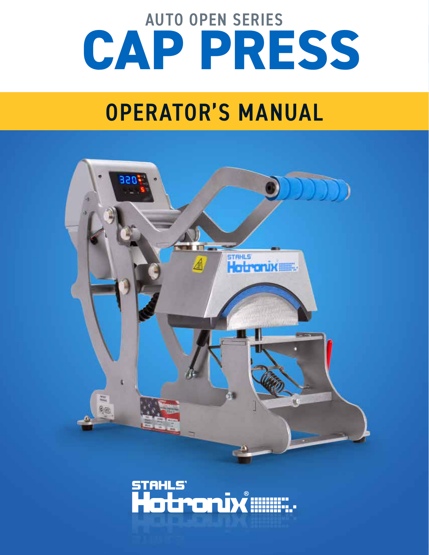# AUTO OPEN SERIES  **CAP PRESS**

# OPERATOR'S MANUAL



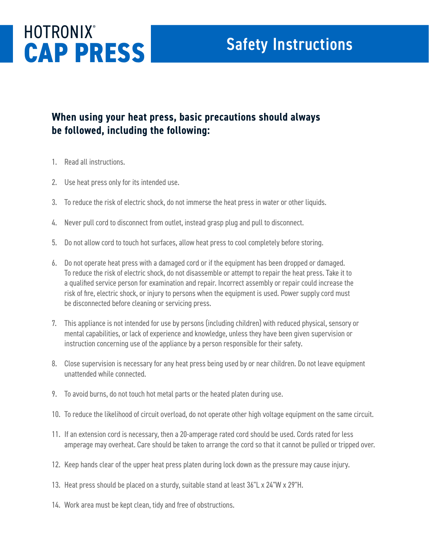## **HOTRONIX® CAP PRESS** Safety Instructions

#### **When using your heat press, basic precautions should always be followed, including the following:**

- 1. Read all instructions.
- 2. Use heat press only for its intended use.
- 3. To reduce the risk of electric shock, do not immerse the heat press in water or other liquids.
- 4. Never pull cord to disconnect from outlet, instead grasp plug and pull to disconnect.
- 5. Do not allow cord to touch hot surfaces, allow heat press to cool completely before storing.
- 6. Do not operate heat press with a damaged cord or if the equipment has been dropped or damaged. To reduce the risk of electric shock, do not disassemble or attempt to repair the heat press. Take it to a qualified service person for examination and repair. Incorrect assembly or repair could increase the risk of fire, electric shock, or injury to persons when the equipment is used. Power supply cord must be disconnected before cleaning or servicing press.
- 7. This appliance is not intended for use by persons (including children) with reduced physical, sensory or mental capabilities, or lack of experience and knowledge, unless they have been given supervision or instruction concerning use of the appliance by a person responsible for their safety.
- 8. Close supervision is necessary for any heat press being used by or near children. Do not leave equipment unattended while connected.
- 9. To avoid burns, do not touch hot metal parts or the heated platen during use.
- 10. To reduce the likelihood of circuit overload, do not operate other high voltage equipment on the same circuit.
- 11. If an extension cord is necessary, then a 20-amperage rated cord should be used. Cords rated for less amperage may overheat. Care should be taken to arrange the cord so that it cannot be pulled or tripped over.
- 12. Keep hands clear of the upper heat press platen during lock down as the pressure may cause injury.
- 13. Heat press should be placed on a sturdy, suitable stand at least 36"L x 24"W x 29"H.
- 14. Work area must be kept clean, tidy and free of obstructions.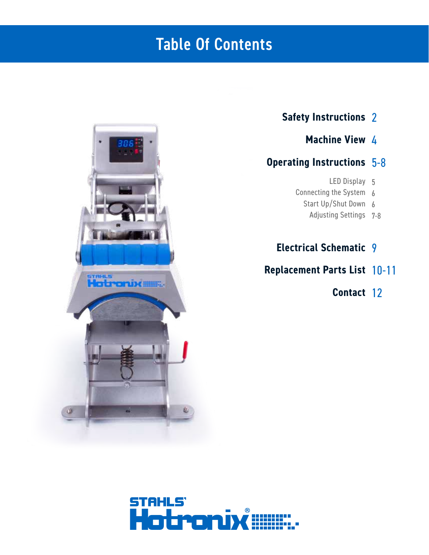## **Table Of Contents**



#### **Safety Instructions** 2

**Machine View** 4

#### **Operating Instructions** 5-8

- LED Display 5
- Connecting the System 6
	- Start Up/Shut Down 6
		- Adjusting Settings 7-8

### **Electrical Schematic** 9

### **Replacement Parts List** 10-11

**Contact** 12

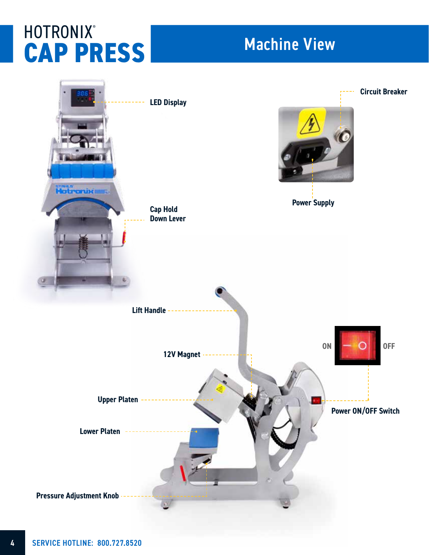## **HOTRONIX® CAP PRESS** Machine View

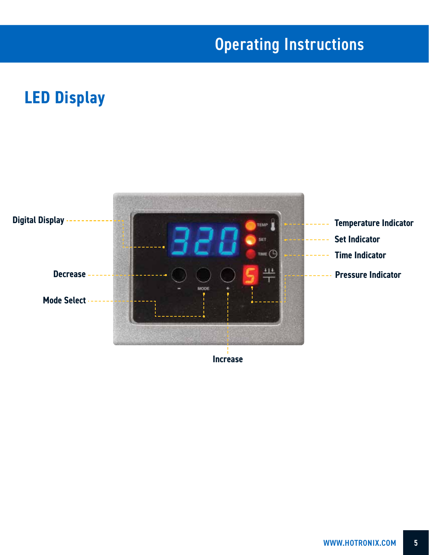## **Operating Instructions**

## **LED Display**

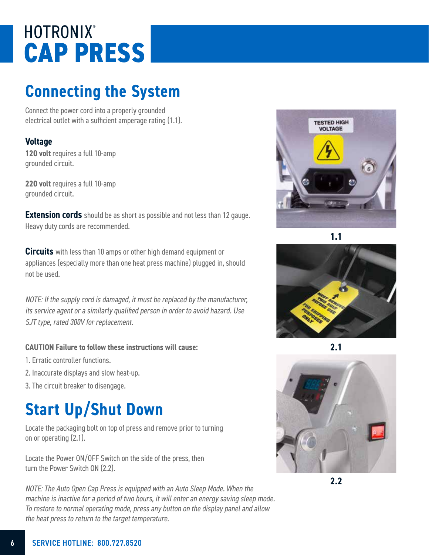## **HOTRONIX® CAP PRESS**

## **Connecting the System**

Connect the power cord into a properly grounded electrical outlet with a sufficient amperage rating (1.1).

#### **Voltage**

**120 volt** requires a full 10-amp grounded circuit.

**220 volt** requires a full 10-amp grounded circuit.

**Extension cords** should be as short as possible and not less than 12 gauge. Heavy duty cords are recommended.

**Circuits** with less than 10 amps or other high demand equipment or appliances (especially more than one heat press machine) plugged in, should not be used.

NOTE: If the supply cord is damaged, it must be replaced by the manufacturer, its service agent or a similarly qualified person in order to avoid hazard. Use SJT type, rated 300V for replacement.

#### **CAUTION Failure to follow these instructions will cause:**

- 1. Erratic controller functions.
- 2. Inaccurate displays and slow heat-up.
- 3. The circuit breaker to disengage.

## **Start Up/Shut Down**

Locate the packaging bolt on top of press and remove prior to turning on or operating (2.1).

Locate the Power ON/OFF Switch on the side of the press, then turn the Power Switch ON (2.2).

NOTE: The Auto Open Cap Press is equipped with an Auto Sleep Mode. When the machine is inactive for a period of two hours, it will enter an energy saving sleep mode. To restore to normal operating mode, press any button on the display panel and allow the heat press to return to the target temperature.



**1.1**







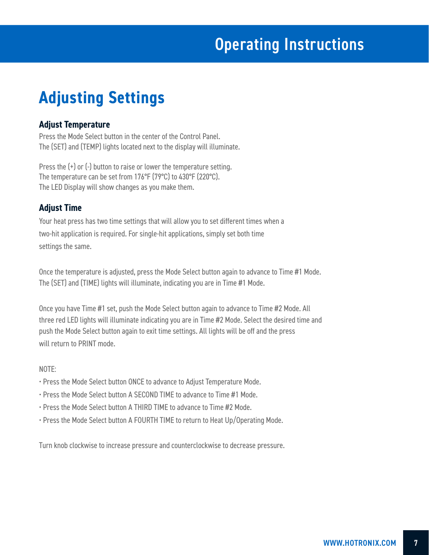## **Adjusting Settings**

#### **Adjust Temperature**

Press the Mode Select button in the center of the Control Panel. The (SET) and (TEMP) lights located next to the display will illuminate.

Press the (+) or (-) button to raise or lower the temperature setting. The temperature can be set from 176°F (79°C) to 430°F (220°C). The LED Display will show changes as you make them.

#### **Adjust Time**

Your heat press has two time settings that will allow you to set different times when a two-hit application is required. For single-hit applications, simply set both time settings the same.

Once the temperature is adjusted, press the Mode Select button again to advance to Time #1 Mode. The (SET) and (TIME) lights will illuminate, indicating you are in Time #1 Mode.

Once you have Time #1 set, push the Mode Select button again to advance to Time #2 Mode. All three red LED lights will illuminate indicating you are in Time #2 Mode. Select the desired time and push the Mode Select button again to exit time settings. All lights will be off and the press will return to PRINT mode.

#### NOTE:

- Press the Mode Select button ONCE to advance to Adjust Temperature Mode.
- Press the Mode Select button A SECOND TIME to advance to Time #1 Mode.
- Press the Mode Select button A THIRD TIME to advance to Time #2 Mode.
- Press the Mode Select button A FOURTH TIME to return to Heat Up/Operating Mode.

Turn knob clockwise to increase pressure and counterclockwise to decrease pressure.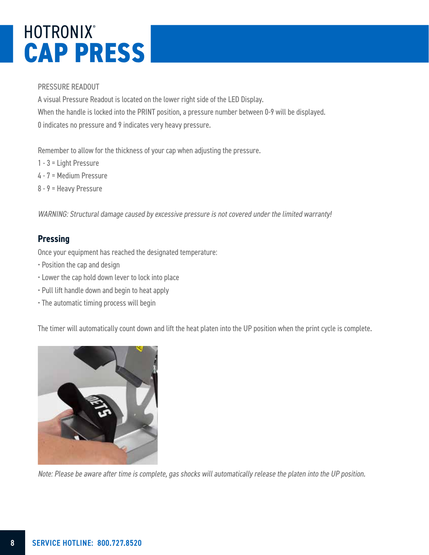## **HOTRONIX® CAP PRESS**

#### PRESSURE READOUT

A visual Pressure Readout is located on the lower right side of the LED Display. When the handle is locked into the PRINT position, a pressure number between 0-9 will be displayed. 0 indicates no pressure and 9 indicates very heavy pressure.

Remember to allow for the thickness of your cap when adjusting the pressure.

- 1 3 = Light Pressure
- 4 7 = Medium Pressure
- 8 9 = Heavy Pressure

WARNING: Structural damage caused by excessive pressure is not covered under the limited warranty!

#### **Pressing**

Once your equipment has reached the designated temperature:

- Position the cap and design
- Lower the cap hold down lever to lock into place
- Pull lift handle down and begin to heat apply
- The automatic timing process will begin

The timer will automatically count down and lift the heat platen into the UP position when the print cycle is complete.



Note: Please be aware after time is complete, gas shocks will automatically release the platen into the UP position.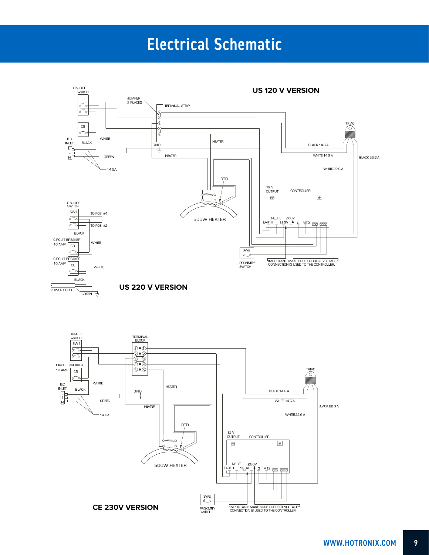## Electrical Schematic

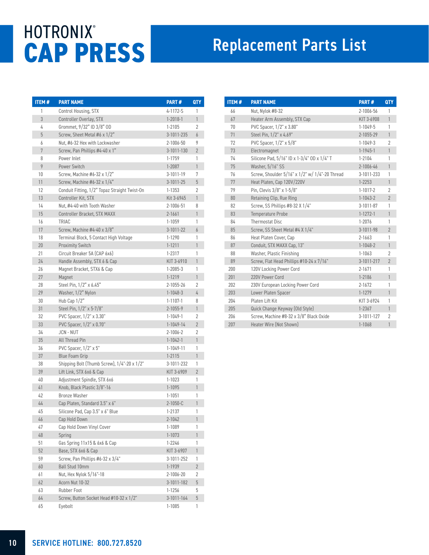## **HOTRONIX® CAP PRESS** Replacement Parts List

| <b>ITEM#</b> | <b>PART NAME</b>                              | PART#           | QTY            |
|--------------|-----------------------------------------------|-----------------|----------------|
| 1            | Control Housing, STX                          | 4-1172-S        | 1              |
| 3            | Controller Overlay, STX                       | $1 - 2018 - 1$  | 1              |
| 4            | Grommet, 9/32" ID 3/8" OD                     | $1 - 2105$      | 2              |
| 5            | Screw, Sheet Metal #6 x 1/2"                  | 3-1011-235      | 6              |
| 6            | Nut, #6-32 Hex with Lockwasher                | $2 - 1006 - 50$ | 9              |
| 7            | Screw, Pan Phillips #4-40 x 1"                | 3-1011-130      | $\overline{2}$ |
| 8            | Power Inlet                                   | $1 - 1759$      | 1              |
| 9            | Power Switch                                  | 1-2087          | $\mathbf{1}$   |
| 10           | Screw, Machine #6-32 $\times$ 1/2"            | $3 - 1011 - 19$ | 7              |
| 11           | Screw, Machine #6-32 x 1/4"                   | $3 - 1011 - 25$ | 5              |
| 12           | Conduit Fitting, 1/2" Topaz Straight Twist-On | $1 - 1353$      | 2              |
| 13           | Controller Kit, STX                           | Kit 3-6945      | 1              |
| 14           | Nut, #4-40 with Tooth Washer                  | 2-1006-51       | 8              |
| 15           | Controller Bracket, STX MAXX                  | 2-1661          | 1              |
| 16           | TRIAC                                         | $1 - 1059$      | 1              |
| 17           | Screw, Machine #4-40 x 3/8"                   | 3-1011-22       | 6              |
| 18           | Terminal Block, 5 Contact High Voltage        | $1 - 1290$      | 1              |
| 20           | <b>Proximity Switch</b>                       | $1 - 1211$      | 1              |
| 21           | Circuit Breaker 5A (CAP 6x6)                  | $1 - 2317$      | 1              |
| 24           | Handle Assembly, STX 6 & Cap                  | KIT 3-6910      | 1              |
| 26           | Magnet Bracket, STX6 & Cap                    | $1 - 2085 - 3$  | 1              |
| 27           | Magnet                                        | $1 - 1219$      | $\mathbf{1}$   |
| 28           | Steel Pin, 1/2" x 6.45"                       | 2-1055-26       | 2              |
| 29           | Washer, 1/2" Nylon                            | $1 - 1048 - 3$  | 4              |
| 30           | Hub Cap 1/2"                                  | $1 - 1107 - 1$  | 8              |
| 31           | Steel Pin, 1/2" x 5-7/8"                      | $2 - 1055 - 9$  | 1              |
| 32           | PVC Spacer, 1/2" x 3.30"                      | $1 - 1049 - 1$  | 2              |
| 33           | PVC Spacer, 1/2" x 0.70"                      | $1 - 1049 - 14$ | $\overline{2}$ |
| 34           | JCN - NUT                                     | $2 - 1006 - 2$  | 2              |
| 35           | <b>All Thread Pin</b>                         | $1 - 1042 - 1$  | 1              |
| 36           | PVC Spacer, 1/2" x 5"                         | 1-1049-11       | 1              |
| 37           | <b>Blue Foam Grip</b>                         | $1 - 2115$      | $\mathbf{1}$   |
| 38           | Shipping Bolt (Thumb Screw), 1/4"-20 x 1/2"   | 3-1011-232      | 1              |
| 39           | Lift Link, STX 6x6 & Cap                      | KIT 3-6909      | $\overline{2}$ |
| 40           | Adjustment Spindle, STX 6x6                   | $1 - 1023$      | 1              |
| 41           | Knob, Black Plastic 3/8"-16                   | $1 - 1095$      | 1              |
| 42           | <b>Bronze Washer</b>                          | $1 - 1051$      | 1              |
| 44           | Cap Platen, Standard 3.5" x 6"                | $2 - 1050 - C$  | 1              |
| 45           | Silicone Pad, Cap 3.5" x 6" Blue              | 1-2137          | 1              |
| 46           | Cap Hold Down                                 | 2-1042          | 1              |
| 47           | Cap Hold Down Vinyl Cover                     | $1 - 1089$      | 1              |
| 48           | Spring                                        | $1 - 1073$      | 1              |
| 51           | Gas Spring 11x15 & 6x6 & Cap                  | 1-2246          | 1              |
| 52           | Base, STX 6x6 & Cap                           | KIT 3-6907      | 1              |
| 59           | Screw, Pan Phillips #6-32 x 3/4"              | 3-1011-252      | 1              |
| 60           | Ball Stud 10mm                                | $1 - 1939$      | $\overline{2}$ |
| 61           | Nut, Hex Nylok 5/16"-18                       | 2-1006-20       | 2              |
| 62           | Acorn Nut 10-32                               | 3-1011-182      | 5              |
| 63           | Rubber Foot                                   | $1 - 1256$      | 5              |
| 64           | Screw, Button Socket Head #10-32 x 1/2"       | 3-1011-164      | 5              |
| 65           | Eyebolt                                       | $1 - 1085$      | 1              |

| <b>ITEM#</b> | <b>PART NAME</b>                               | PART#           | <b>QTY</b>     |
|--------------|------------------------------------------------|-----------------|----------------|
| 66           | Nut, Nylok #8-32                               | 2-1006-56       | 1              |
| 67           | Heater Arm Assembly, STX Cap                   | KIT 3-6908      | $\mathbf{1}$   |
| 70           | PVC Spacer, 1/2" x 3.80"                       | $1 - 1049 - 5$  | 1              |
| 71           | Steel Pin, 1/2" x 4.69"                        | $2 - 1055 - 29$ | $\mathbf{1}$   |
| 72           | PVC Spacer, 1/2" x 5/8"                        | $1 - 1049 - 3$  | $\overline{2}$ |
| 73           | Electromagnet                                  | $1 - 1945 - 1$  | $\mathbf{1}$   |
| 74           | Silicone Pad, 5/16" ID x 1-3/4" OD x 1/4" T    | $1 - 2104$      | 1              |
| 75           | Washer, 5/16" SS                               | $2 - 1006 - 46$ | 1              |
| 76           | Screw, Shoulder 5/16" x 1/2" w/ 1/4"-20 Thread | 3-1011-233      | 1              |
| 77           | Heat Platen, Cap 120V/220V                     | $1 - 2253$      | $\mathbf{1}$   |
| 79           | Pin. Clevis $3/8$ " x 1-5/8"                   | $1 - 1017 - 2$  | $\overline{2}$ |
| 80           | Retaining Clip, Rue Ring                       | $1 - 1043 - 2$  | $\overline{2}$ |
| 82           | Screw, SS Phillips #8-32 X 1/4"                | $3 - 1011 - 87$ | 1              |
| 83           | <b>Temperature Probe</b>                       | $1 - 1272 - 1$  | 1              |
| 84           | Thermostat Disc                                | $1 - 2076$      | 1              |
| 85           | Screw, SS Sheet Metal #4 X 1/4"                | $3 - 1011 - 98$ | $\overline{2}$ |
| 86           | Heat Platen Cover, Cap                         | $2 - 1663$      | 1              |
| 87           | Conduit, STX MAXX Cap, 13"                     | $1 - 1048 - 2$  | $\mathbf{1}$   |
| 88           | Washer, Plastic Finishing                      | $1 - 1063$      | $\overline{2}$ |
| 89           | Screw, Flat Head Phillips #10-24 x 7/16"       | 3-1011-217      | $\overline{2}$ |
| 200          | 120V Locking Power Cord                        | $2 - 1671$      | 1              |
| 201          | 220V Power Cord                                | $1 - 2186$      | $\mathbf{1}$   |
| 202          | 230V European Locking Power Cord               | 2-1672          | 1              |
| 203          | Lower Platen Spacer                            | $1 - 1279$      | 1              |
| 204          | Platen Lift Kit                                | KIT 3-6924      | 1              |
| 205          | Quick Change Keyway (Old Style)                | $1 - 2367$      | $\mathbf{1}$   |
| 206          | Screw, Machine #8-32 x 3/8" Black Oxide        | 3-1011-127      | $\overline{2}$ |
| 207          | Heater Wire (Not Shown)                        | $1 - 1068$      | 1              |
|              |                                                |                 |                |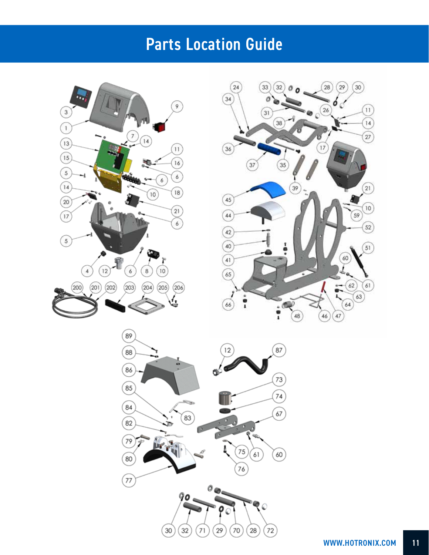## Parts Location Guide